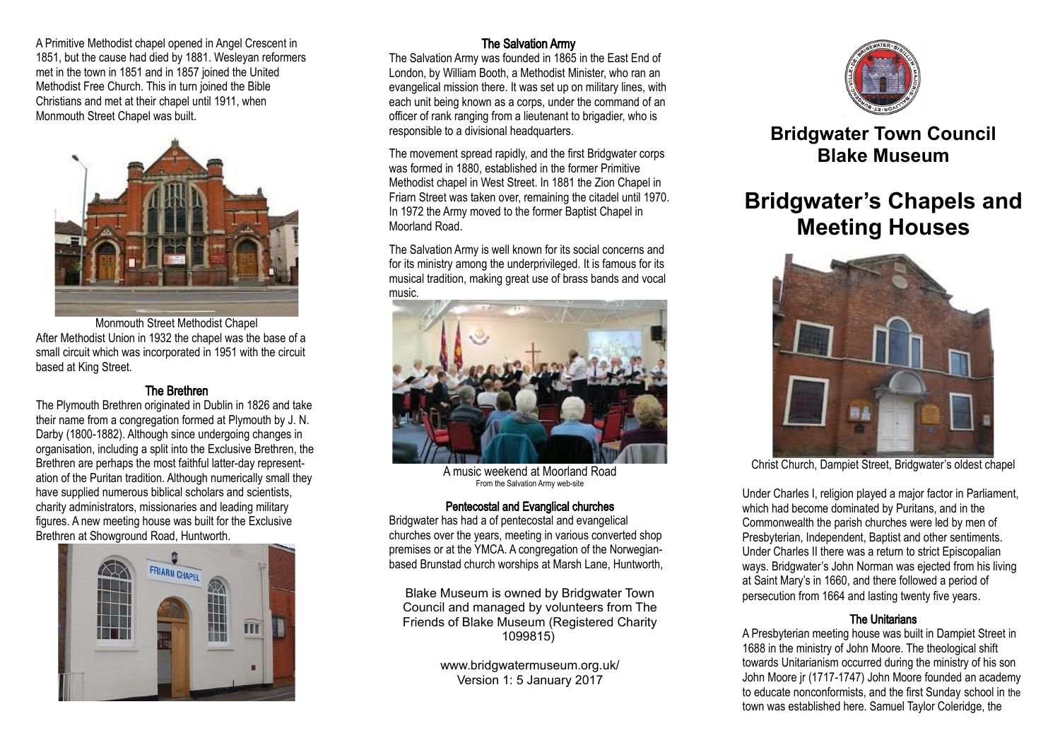A Primitive Methodist chapel opened in Angel Crescent in 1851, but the cause had died by 1881. Wesleyan reformers met in the town in 1851 and in 1857 joined the United Methodist Free Church. This in turn joined the Bible Christians and met at their chapel until 1911, when Monmouth Street Chapel was built.



Monmouth Street Methodist Chapel

After Methodist Union in 1932 the chapel was the base of a small circuit which was incorporated in 1951 with the circuit based at King Street.

# The Brethren

The Plymouth Brethren originated in Dublin in 1826 and take their name from a congregation formed at Plymouth by J. N. Darby (1800-1882). Although since undergoing changes in organisation, including a split into the Exclusive Brethren, the Brethren are perhaps the most faithful latter-day representation of the Puritan tradition. Although numerically small they have supplied numerous biblical scholars and scientists, charity administrators, missionaries and leading military figures. A new meeting house was built for the Exclusive Brethren at Showground Road, Huntworth.



# The Salvation Army

The Salvation Army was founded in 1865 in the East End of London, by William Booth, a Methodist Minister, who ran an evangelical mission there. It was set up on military lines, with each unit being known as a corps, under the command of an officer of rank ranging from a lieutenant to brigadier, who is responsible to a divisional headquarters.

The movement spread rapidly, and the first Bridgwater corps was formed in 1880, established in the former Primitive Methodist chapel in West Street. In 1881 the Zion Chapel in Friarn Street was taken over, remaining the citadel until 1970. In 1972 the Army moved to the former Baptist Chapel in Moorland Road.

The Salvation Army is well known for its social concerns and for its ministry among the underprivileged. It is famous for its musical tradition, making great use of brass bands and vocal music.



A music weekend at Moorland Road From the Salvation Army web-site

#### Pentecostal and Evanglical churches

Bridgwater has had a of pentecostal and evangelical churches over the years, meeting in various converted shop premises or at the YMCA. A congregation of the Norwegianbased Brunstad church worships at Marsh Lane, Huntworth,

Blake Museum is owned by Bridgwater Town Council and managed by volunteers from The Friends of Blake Museum (Registered Charity 1099815)

> www.bridgwatermuseum.org.uk/ Version 1: 5 January 2017



# **Bridgwater Town Council Blake Museum**

# **Bridgwater's Chapels and Meeting Houses**



Christ Church, Dampiet Street, Bridgwater's oldest chapel

Under Charles I, religion played a major factor in Parliament, which had become dominated by Puritans, and in the Commonwealth the parish churches were led by men of Presbyterian, Independent, Baptist and other sentiments. Under Charles II there was a return to strict Episcopalian ways. Bridgwater's John Norman was ejected from his living at Saint Mary's in 1660, and there followed a period of persecution from 1664 and lasting twenty five years.

#### The Unitarians

A Presbyterian meeting house was built in Dampiet Street in 1688 in the ministry of John Moore. The theological shift towards Unitarianism occurred during the ministry of his son John Moore jr (1717-1747) John Moore founded an academy to educate nonconformists, and the first Sunday school in the town was established here. Samuel Taylor Coleridge, the